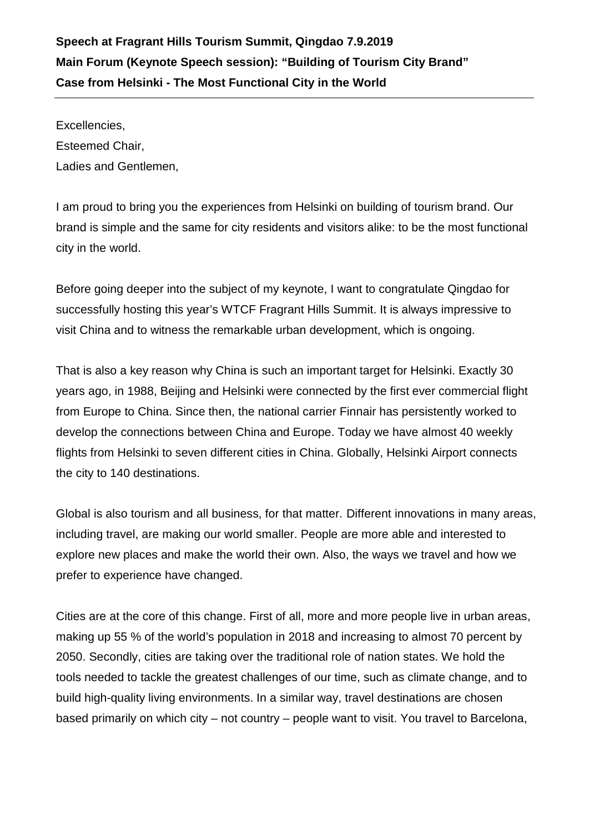## **Speech at Fragrant Hills Tourism Summit, Qingdao 7.9.2019 Main Forum (Keynote Speech session): "Building of Tourism City Brand" Case from Helsinki - The Most Functional City in the World**

Excellencies, Esteemed Chair, Ladies and Gentlemen,

I am proud to bring you the experiences from Helsinki on building of tourism brand. Our brand is simple and the same for city residents and visitors alike: to be the most functional city in the world.

Before going deeper into the subject of my keynote, I want to congratulate Qingdao for successfully hosting this year's WTCF Fragrant Hills Summit. It is always impressive to visit China and to witness the remarkable urban development, which is ongoing.

That is also a key reason why China is such an important target for Helsinki. Exactly 30 years ago, in 1988, Beijing and Helsinki were connected by the first ever commercial flight from Europe to China. Since then, the national carrier Finnair has persistently worked to develop the connections between China and Europe. Today we have almost 40 weekly flights from Helsinki to seven different cities in China. Globally, Helsinki Airport connects the city to 140 destinations.

Global is also tourism and all business, for that matter. Different innovations in many areas, including travel, are making our world smaller. People are more able and interested to explore new places and make the world their own. Also, the ways we travel and how we prefer to experience have changed.

Cities are at the core of this change. First of all, more and more people live in urban areas, making up 55 % of the world's population in 2018 and increasing to almost 70 percent by 2050. Secondly, cities are taking over the traditional role of nation states. We hold the tools needed to tackle the greatest challenges of our time, such as climate change, and to build high-quality living environments. In a similar way, travel destinations are chosen based primarily on which city – not country – people want to visit. You travel to Barcelona,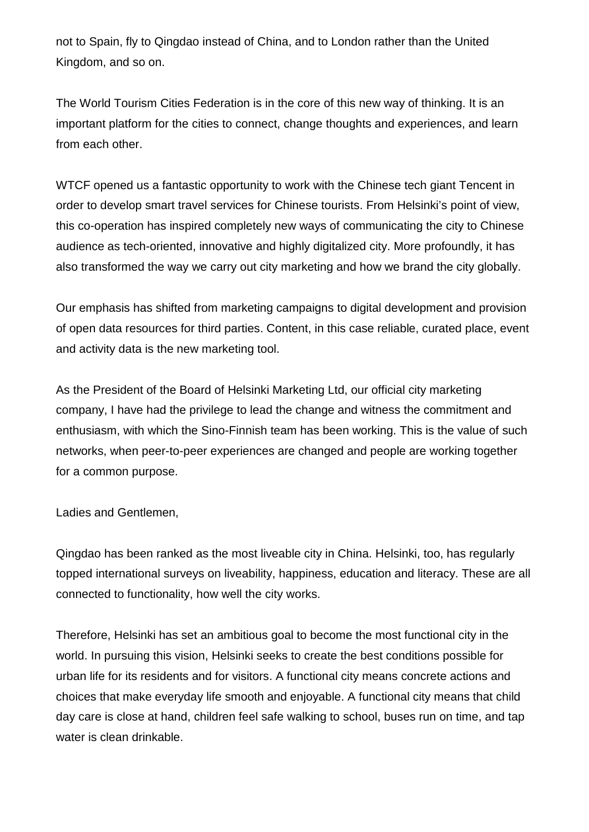not to Spain, fly to Qingdao instead of China, and to London rather than the United Kingdom, and so on.

The World Tourism Cities Federation is in the core of this new way of thinking. It is an important platform for the cities to connect, change thoughts and experiences, and learn from each other.

WTCF opened us a fantastic opportunity to work with the Chinese tech giant Tencent in order to develop smart travel services for Chinese tourists. From Helsinki's point of view, this co-operation has inspired completely new ways of communicating the city to Chinese audience as tech-oriented, innovative and highly digitalized city. More profoundly, it has also transformed the way we carry out city marketing and how we brand the city globally.

Our emphasis has shifted from marketing campaigns to digital development and provision of open data resources for third parties. Content, in this case reliable, curated place, event and activity data is the new marketing tool.

As the President of the Board of Helsinki Marketing Ltd, our official city marketing company, I have had the privilege to lead the change and witness the commitment and enthusiasm, with which the Sino-Finnish team has been working. This is the value of such networks, when peer-to-peer experiences are changed and people are working together for a common purpose.

Ladies and Gentlemen,

Qingdao has been ranked as the most liveable city in China. Helsinki, too, has regularly topped international surveys on liveability, happiness, education and literacy. These are all connected to functionality, how well the city works.

Therefore, Helsinki has set an ambitious goal to become the most functional city in the world. In pursuing this vision, Helsinki seeks to create the best conditions possible for urban life for its residents and for visitors. A functional city means concrete actions and choices that make everyday life smooth and enjoyable. A functional city means that child day care is close at hand, children feel safe walking to school, buses run on time, and tap water is clean drinkable.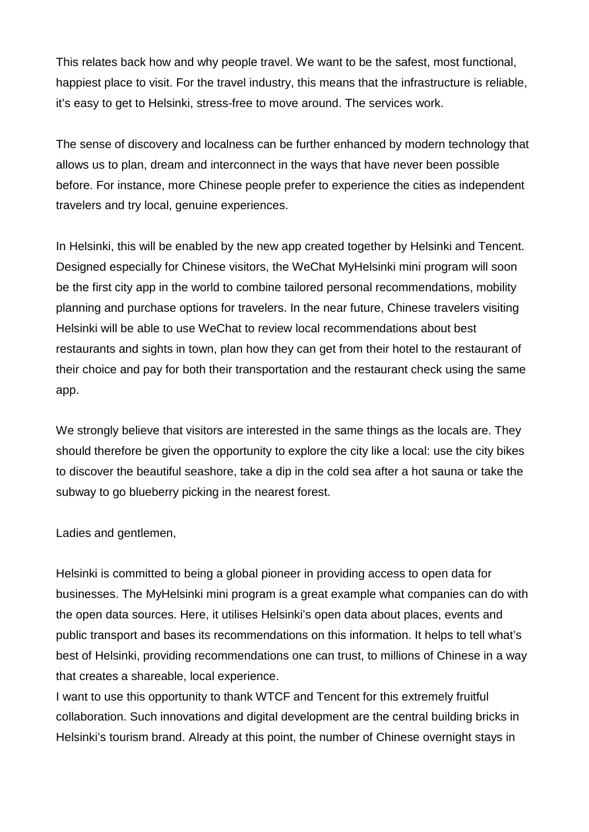This relates back how and why people travel. We want to be the safest, most functional, happiest place to visit. For the travel industry, this means that the infrastructure is reliable, it's easy to get to Helsinki, stress-free to move around. The services work.

The sense of discovery and localness can be further enhanced by modern technology that allows us to plan, dream and interconnect in the ways that have never been possible before. For instance, more Chinese people prefer to experience the cities as independent travelers and try local, genuine experiences.

In Helsinki, this will be enabled by the new app created together by Helsinki and Tencent. Designed especially for Chinese visitors, the WeChat MyHelsinki mini program will soon be the first city app in the world to combine tailored personal recommendations, mobility planning and purchase options for travelers. In the near future, Chinese travelers visiting Helsinki will be able to use WeChat to review local recommendations about best restaurants and sights in town, plan how they can get from their hotel to the restaurant of their choice and pay for both their transportation and the restaurant check using the same app.

We strongly believe that visitors are interested in the same things as the locals are. They should therefore be given the opportunity to explore the city like a local: use the city bikes to discover the beautiful seashore, take a dip in the cold sea after a hot sauna or take the subway to go blueberry picking in the nearest forest.

Ladies and gentlemen,

Helsinki is committed to being a global pioneer in providing access to open data for businesses. The MyHelsinki mini program is a great example what companies can do with the open data sources. Here, it utilises Helsinki's open data about places, events and public transport and bases its recommendations on this information. It helps to tell what's best of Helsinki, providing recommendations one can trust, to millions of Chinese in a way that creates a shareable, local experience.

I want to use this opportunity to thank WTCF and Tencent for this extremely fruitful collaboration. Such innovations and digital development are the central building bricks in Helsinki's tourism brand. Already at this point, the number of Chinese overnight stays in